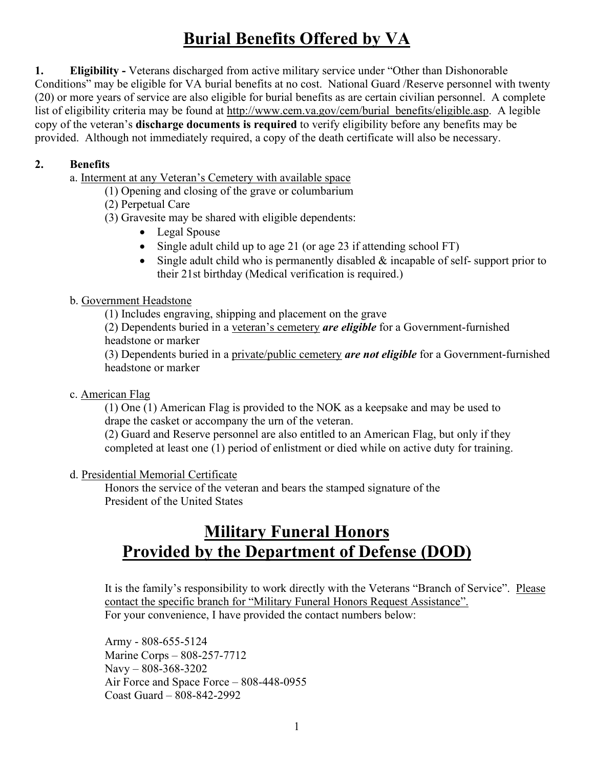# **Burial Benefits Offered by VA**

**1. Eligibility -** Veterans discharged from active military service under "Other than Dishonorable Conditions" may be eligible for VA burial benefits at no cost. National Guard /Reserve personnel with twenty (20) or more years of service are also eligible for burial benefits as are certain civilian personnel. A complete list of eligibility criteria may be found at http://www.cem.va.gov/cem/burial\_benefits/eligible.asp. A legible copy of the veteran's **discharge documents is required** to verify eligibility before any benefits may be provided. Although not immediately required, a copy of the death certificate will also be necessary.

#### **2. Benefits**

a. Interment at any Veteran's Cemetery with available space

(1) Opening and closing of the grave or columbarium

(2) Perpetual Care

(3) Gravesite may be shared with eligible dependents:

• Legal Spouse

• Single adult child up to age 21 (or age 23 if attending school FT)

• Single adult child who is permanently disabled  $\&$  incapable of self-support prior to their 21st birthday (Medical verification is required.)

#### b. Government Headstone

(1) Includes engraving, shipping and placement on the grave

(2) Dependents buried in a veteran's cemetery *are eligible* for a Government-furnished headstone or marker

(3) Dependents buried in a private/public cemetery *are not eligible* for a Government-furnished headstone or marker

c. American Flag

(1) One (1) American Flag is provided to the NOK as a keepsake and may be used to drape the casket or accompany the urn of the veteran.

(2) Guard and Reserve personnel are also entitled to an American Flag, but only if they completed at least one (1) period of enlistment or died while on active duty for training.

#### d. Presidential Memorial Certificate

Honors the service of the veteran and bears the stamped signature of the President of the United States

## **Military Funeral Honors Provided by the Department of Defense (DOD)**

It is the family's responsibility to work directly with the Veterans "Branch of Service". Please contact the specific branch for "Military Funeral Honors Request Assistance". For your convenience, I have provided the contact numbers below:

Army - 808-655-5124 Marine Corps – 808-257-7712 Navy – 808-368-3202 Air Force and Space Force – 808-448-0955 Coast Guard – 808-842-2992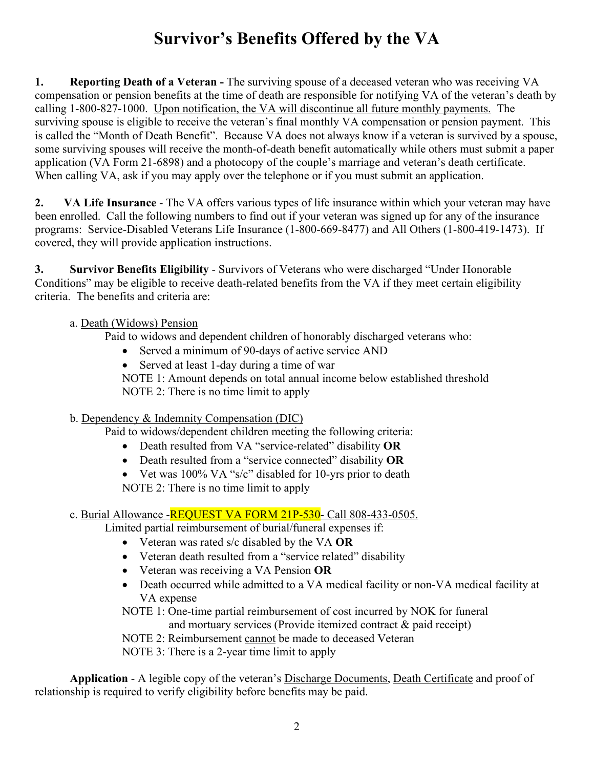# **Survivor's Benefits Offered by the VA**

**1.** Reporting Death of a Veteran - The surviving spouse of a deceased veteran who was receiving VA compensation or pension benefits at the time of death are responsible for notifying VA of the veteran's death by calling 1-800-827-1000. Upon notification, the VA will discontinue all future monthly payments. The surviving spouse is eligible to receive the veteran's final monthly VA compensation or pension payment. This is called the "Month of Death Benefit". Because VA does not always know if a veteran is survived by a spouse, some surviving spouses will receive the month-of-death benefit automatically while others must submit a paper application (VA Form 21-6898) and a photocopy of the couple's marriage and veteran's death certificate. When calling VA, ask if you may apply over the telephone or if you must submit an application.

**2. VA Life Insurance** - The VA offers various types of life insurance within which your veteran may have been enrolled. Call the following numbers to find out if your veteran was signed up for any of the insurance programs: Service-Disabled Veterans Life Insurance (1-800-669-8477) and All Others (1-800-419-1473). If covered, they will provide application instructions.

**3. Survivor Benefits Eligibility** - Survivors of Veterans who were discharged "Under Honorable Conditions" may be eligible to receive death-related benefits from the VA if they meet certain eligibility criteria. The benefits and criteria are:

#### a. Death (Widows) Pension

Paid to widows and dependent children of honorably discharged veterans who:

- Served a minimum of 90-days of active service AND
- Served at least 1-day during a time of war

NOTE 1: Amount depends on total annual income below established threshold NOTE 2: There is no time limit to apply

#### b. Dependency & Indemnity Compensation (DIC)

Paid to widows/dependent children meeting the following criteria:

- Death resulted from VA "service-related" disability **OR**
- Death resulted from a "service connected" disability **OR**
- Vet was 100% VA "s/c" disabled for 10-yrs prior to death

NOTE 2: There is no time limit to apply

#### c. Burial Allowance -REQUEST VA FORM 21P-530 - Call 808-433-0505.

Limited partial reimbursement of burial/funeral expenses if:

- Veteran was rated s/c disabled by the VA **OR**
- Veteran death resulted from a "service related" disability
- Veteran was receiving a VA Pension **OR**
- Death occurred while admitted to a VA medical facility or non-VA medical facility at VA expense

NOTE 1: One-time partial reimbursement of cost incurred by NOK for funeral and mortuary services (Provide itemized contract & paid receipt)

NOTE 2: Reimbursement cannot be made to deceased Veteran

NOTE 3: There is a 2-year time limit to apply

 **Application** - A legible copy of the veteran's Discharge Documents, Death Certificate and proof of relationship is required to verify eligibility before benefits may be paid.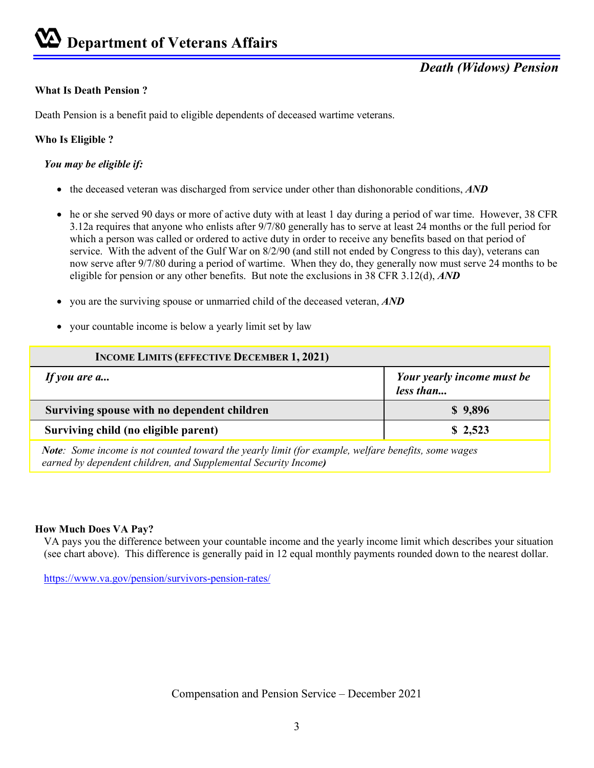#### **What Is Death Pension ?**

Death Pension is a benefit paid to eligible dependents of deceased wartime veterans.

#### **Who Is Eligible ?**

#### *You may be eligible if:*

- the deceased veteran was discharged from service under other than dishonorable conditions, *AND*
- he or she served 90 days or more of active duty with at least 1 day during a period of war time. However, 38 CFR 3.12a requires that anyone who enlists after 9/7/80 generally has to serve at least 24 months or the full period for which a person was called or ordered to active duty in order to receive any benefits based on that period of service. With the advent of the Gulf War on 8/2/90 (and still not ended by Congress to this day), veterans can now serve after 9/7/80 during a period of wartime. When they do, they generally now must serve 24 months to be eligible for pension or any other benefits. But note the exclusions in 38 CFR 3.12(d), *AND*
- you are the surviving spouse or unmarried child of the deceased veteran, *AND*
- your countable income is below a yearly limit set by law

| <b>INCOME LIMITS (EFFECTIVE DECEMBER 1, 2021)</b>                                                                                                                                                                                 |                                         |
|-----------------------------------------------------------------------------------------------------------------------------------------------------------------------------------------------------------------------------------|-----------------------------------------|
| If you are a                                                                                                                                                                                                                      | Your yearly income must be<br>less than |
| Surviving spouse with no dependent children                                                                                                                                                                                       | \$9,896                                 |
| Surviving child (no eligible parent)                                                                                                                                                                                              | \$2,523                                 |
| $\mathbf{M}$ is a constant of the contract of the contract of the contract of the contract of the contract of the contract of the contract of the contract of the contract of the contract of the contract of the contract of the |                                         |

*Note: Some income is not counted toward the yearly limit (for example, welfare benefits, some wages earned by dependent children, and Supplemental Security Income)* 

#### **How Much Does VA Pay?**

VA pays you the difference between your countable income and the yearly income limit which describes your situation (see chart above). This difference is generally paid in 12 equal monthly payments rounded down to the nearest dollar.

https://www.va.gov/pension/survivors-pension-rates/

Compensation and Pension Service – December 2021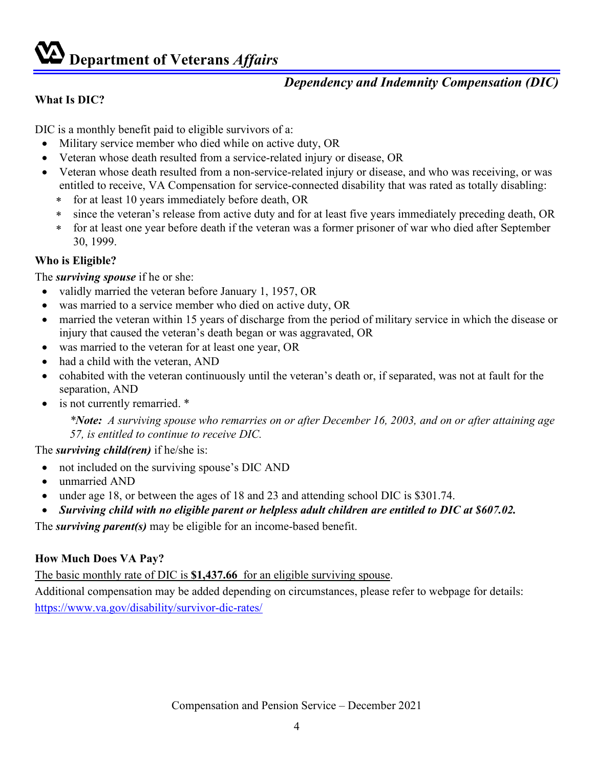# **Department of Veterans** *Affairs*

## *Dependency and Indemnity Compensation (DIC)*

#### **What Is DIC?**

DIC is a monthly benefit paid to eligible survivors of a:

- Military service member who died while on active duty, OR
- Veteran whose death resulted from a service-related injury or disease, OR
- Veteran whose death resulted from a non-service-related injury or disease, and who was receiving, or was entitled to receive, VA Compensation for service-connected disability that was rated as totally disabling:
	- ∗ for at least 10 years immediately before death, OR
	- ∗ since the veteran's release from active duty and for at least five years immediately preceding death, OR
	- ∗ for at least one year before death if the veteran was a former prisoner of war who died after September 30, 1999.

#### **Who is Eligible?**

The *surviving spouse* if he or she:

- validly married the veteran before January 1, 1957, OR
- was married to a service member who died on active duty, OR
- married the veteran within 15 years of discharge from the period of military service in which the disease or injury that caused the veteran's death began or was aggravated, OR
- was married to the veteran for at least one year, OR
- had a child with the veteran, AND
- cohabited with the veteran continuously until the veteran's death or, if separated, was not at fault for the separation, AND
- is not currently remarried.  $*$

*\*Note: A surviving spouse who remarries on or after December 16, 2003, and on or after attaining age 57, is entitled to continue to receive DIC.* 

#### The *surviving child(ren)* if he/she is:

- not included on the surviving spouse's DIC AND
- unmarried AND
- under age 18, or between the ages of 18 and 23 and attending school DIC is \$301.74.
- *Surviving child with no eligible parent or helpless adult children are entitled to DIC at \$607.02.*

The *surviving parent(s)* may be eligible for an income-based benefit.

#### **How Much Does VA Pay?**

The basic monthly rate of DIC is **\$1,437.66** for an eligible surviving spouse.

Additional compensation may be added depending on circumstances, please refer to webpage for details: https://www.va.gov/disability/survivor-dic-rates/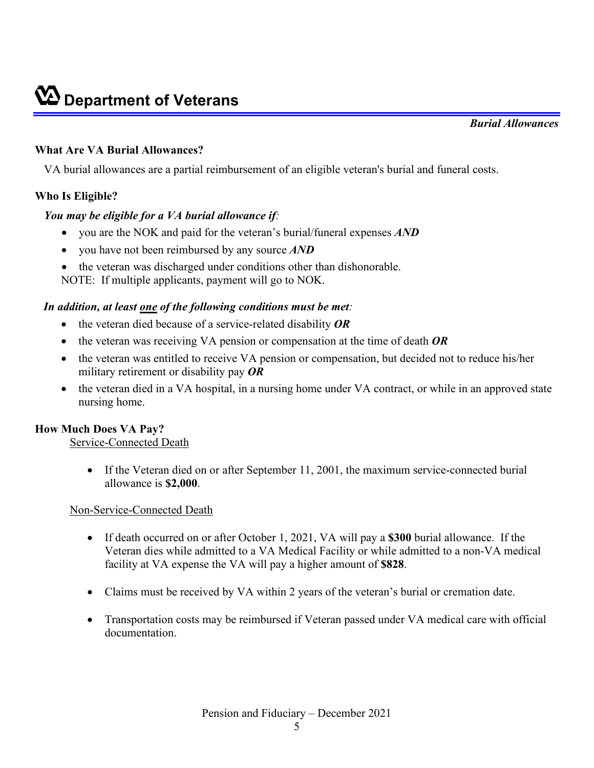#### **What Are VA Burial Allowances?**

VA burial allowances are a partial reimbursement of an eligible veteran's burial and funeral costs.

#### **Who Is Eligible?**

#### *You may be eligible for a VA burial allowance if:*

- you are the NOK and paid for the veteran's burial/funeral expenses *AND*
- you have not been reimbursed by any source *AND*
- the veteran was discharged under conditions other than dishonorable.
- NOTE: If multiple applicants, payment will go to NOK.

#### *In addition, at least one of the following conditions must be met:*

- the veteran died because of a service-related disability *OR*
- the veteran was receiving VA pension or compensation at the time of death *OR*
- the veteran was entitled to receive VA pension or compensation, but decided not to reduce his/her military retirement or disability pay *OR*
- the veteran died in a VA hospital, in a nursing home under VA contract, or while in an approved state nursing home.

#### **How Much Does VA Pay?**

Service-Connected Death

• If the Veteran died on or after September 11, 2001, the maximum service-connected burial allowance is **\$2,000**.

#### Non-Service-Connected Death

- If death occurred on or after October 1, 2021, VA will pay a **\$300** burial allowance. If the Veteran dies while admitted to a VA Medical Facility or while admitted to a non-VA medical facility at VA expense the VA will pay a higher amount of **\$828**.
- Claims must be received by VA within 2 years of the veteran's burial or cremation date.
- Transportation costs may be reimbursed if Veteran passed under VA medical care with official documentation.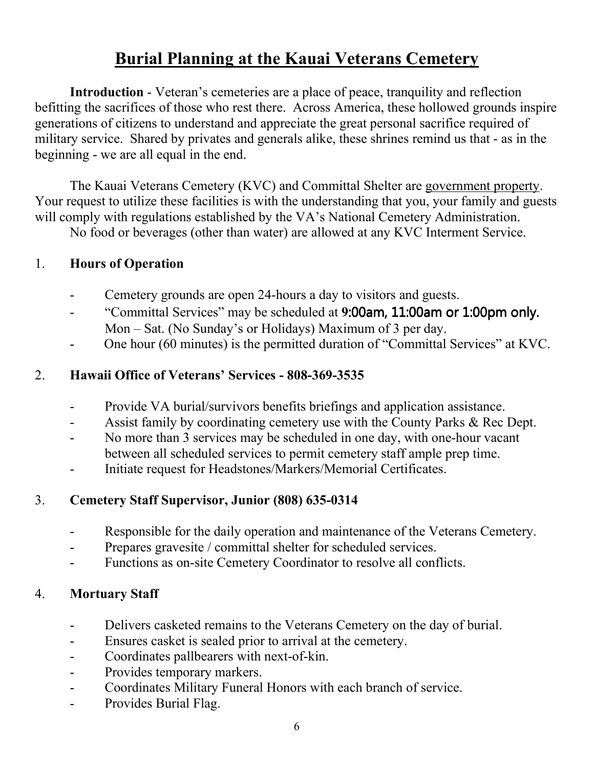# **Burial Planning at the Kauai Veterans Cemetery**

**Introduction** - Veteran's cemeteries are a place of peace, tranquility and reflection befitting the sacrifices of those who rest there. Across America, these hollowed grounds inspire generations of citizens to understand and appreciate the great personal sacrifice required of military service. Shared by privates and generals alike, these shrines remind us that - as in the beginning - we are all equal in the end.

The Kauai Veterans Cemetery (KVC) and Committal Shelter are government property. Your request to utilize these facilities is with the understanding that you, your family and guests will comply with regulations established by the VA's National Cemetery Administration.

No food or beverages (other than water) are allowed at any KVC Interment Service.

## 1. **Hours of Operation**

- Cemetery grounds are open 24-hours a day to visitors and guests.
- "Committal Services" may be scheduled at **9:00am, 11:00am or 1:00pm only.** Mon – Sat. (No Sunday's or Holidays) Maximum of 3 per day.
- One hour (60 minutes) is the permitted duration of "Committal Services" at KVC.

## 2. **Hawaii Office of Veterans' Services - 808-369-3535**

- Provide VA burial/survivors benefits briefings and application assistance.
- Assist family by coordinating cemetery use with the County Parks & Rec Dept.
- No more than 3 services may be scheduled in one day, with one-hour vacant between all scheduled services to permit cemetery staff ample prep time.
- Initiate request for Headstones/Markers/Memorial Certificates.

## 3. **Cemetery Staff Supervisor, Junior (808) 635-0314**

- Responsible for the daily operation and maintenance of the Veterans Cemetery.
- Prepares gravesite / committal shelter for scheduled services.
- Functions as on-site Cemetery Coordinator to resolve all conflicts.

## 4. **Mortuary Staff**

- Delivers casketed remains to the Veterans Cemetery on the day of burial.
- Ensures casket is sealed prior to arrival at the cemetery.
- Coordinates pallbearers with next-of-kin.
- Provides temporary markers.
- Coordinates Military Funeral Honors with each branch of service.
- Provides Burial Flag.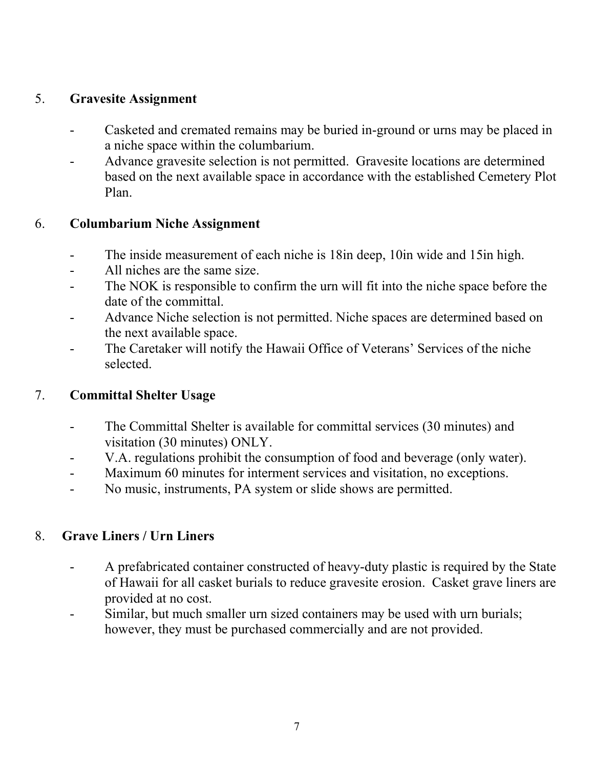## 5. **Gravesite Assignment**

- Casketed and cremated remains may be buried in-ground or urns may be placed in a niche space within the columbarium.
- Advance gravesite selection is not permitted. Gravesite locations are determined based on the next available space in accordance with the established Cemetery Plot Plan.

## 6. **Columbarium Niche Assignment**

- The inside measurement of each niche is 18in deep, 10in wide and 15in high.
- All niches are the same size.
- The NOK is responsible to confirm the urn will fit into the niche space before the date of the committal.
- Advance Niche selection is not permitted. Niche spaces are determined based on the next available space.
- The Caretaker will notify the Hawaii Office of Veterans' Services of the niche selected.

## 7. **Committal Shelter Usage**

- The Committal Shelter is available for committal services (30 minutes) and visitation (30 minutes) ONLY.
- V.A. regulations prohibit the consumption of food and beverage (only water).
- Maximum 60 minutes for interment services and visitation, no exceptions.
- No music, instruments, PA system or slide shows are permitted.

## 8. **Grave Liners / Urn Liners**

- A prefabricated container constructed of heavy-duty plastic is required by the State of Hawaii for all casket burials to reduce gravesite erosion. Casket grave liners are provided at no cost.
- Similar, but much smaller urn sized containers may be used with urn burials; however, they must be purchased commercially and are not provided.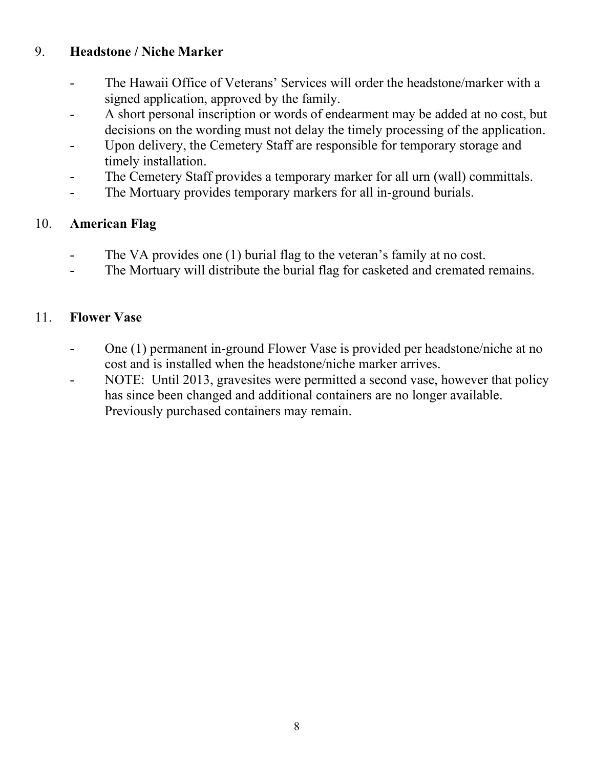## 9. **Headstone / Niche Marker**

- The Hawaii Office of Veterans' Services will order the headstone/marker with a signed application, approved by the family.
- A short personal inscription or words of endearment may be added at no cost, but decisions on the wording must not delay the timely processing of the application.
- Upon delivery, the Cemetery Staff are responsible for temporary storage and timely installation.
- The Cemetery Staff provides a temporary marker for all urn (wall) committals.
- The Mortuary provides temporary markers for all in-ground burials.

## 10. **American Flag**

- The VA provides one (1) burial flag to the veteran's family at no cost.
- The Mortuary will distribute the burial flag for casketed and cremated remains.

## 11. **Flower Vase**

- One (1) permanent in-ground Flower Vase is provided per headstone/niche at no cost and is installed when the headstone/niche marker arrives.
- NOTE: Until 2013, gravesites were permitted a second vase, however that policy has since been changed and additional containers are no longer available. Previously purchased containers may remain.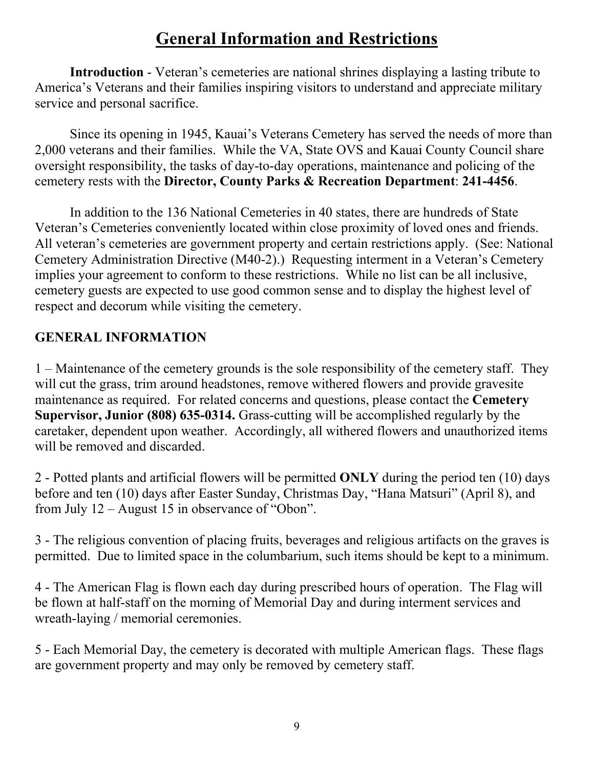# **General Information and Restrictions**

**Introduction** - Veteran's cemeteries are national shrines displaying a lasting tribute to America's Veterans and their families inspiring visitors to understand and appreciate military service and personal sacrifice.

Since its opening in 1945, Kauai's Veterans Cemetery has served the needs of more than 2,000 veterans and their families. While the VA, State OVS and Kauai County Council share oversight responsibility, the tasks of day-to-day operations, maintenance and policing of the cemetery rests with the **Director, County Parks & Recreation Department**: **241-4456**.

In addition to the 136 National Cemeteries in 40 states, there are hundreds of State Veteran's Cemeteries conveniently located within close proximity of loved ones and friends. All veteran's cemeteries are government property and certain restrictions apply. (See: National Cemetery Administration Directive (M40-2).) Requesting interment in a Veteran's Cemetery implies your agreement to conform to these restrictions. While no list can be all inclusive, cemetery guests are expected to use good common sense and to display the highest level of respect and decorum while visiting the cemetery.

## **GENERAL INFORMATION**

1 – Maintenance of the cemetery grounds is the sole responsibility of the cemetery staff. They will cut the grass, trim around headstones, remove withered flowers and provide gravesite maintenance as required. For related concerns and questions, please contact the **Cemetery Supervisor, Junior (808) 635-0314.** Grass-cutting will be accomplished regularly by the caretaker, dependent upon weather. Accordingly, all withered flowers and unauthorized items will be removed and discarded.

2 - Potted plants and artificial flowers will be permitted **ONLY** during the period ten (10) days before and ten (10) days after Easter Sunday, Christmas Day, "Hana Matsuri" (April 8), and from July 12 – August 15 in observance of "Obon".

3 - The religious convention of placing fruits, beverages and religious artifacts on the graves is permitted. Due to limited space in the columbarium, such items should be kept to a minimum.

4 - The American Flag is flown each day during prescribed hours of operation. The Flag will be flown at half-staff on the morning of Memorial Day and during interment services and wreath-laying / memorial ceremonies.

5 - Each Memorial Day, the cemetery is decorated with multiple American flags. These flags are government property and may only be removed by cemetery staff.